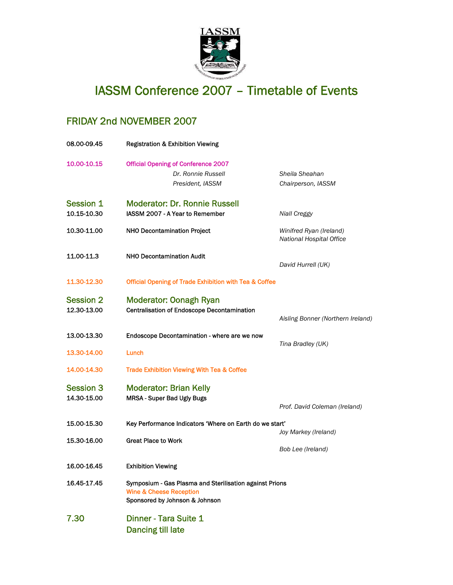

## IASSM Conference 2007 – Timetable of Events

## FRIDAY 2nd NOVEMBER 2007

| 08.00-09.45                     | <b>Registration &amp; Exhibition Viewing</b>                                                                                    |                                                     |  |
|---------------------------------|---------------------------------------------------------------------------------------------------------------------------------|-----------------------------------------------------|--|
| 10.00-10.15                     | <b>Official Opening of Conference 2007</b><br>Dr. Ronnie Russell<br>President, IASSM                                            | Sheila Sheahan<br>Chairperson, IASSM                |  |
| <b>Session 1</b><br>10.15-10.30 | <b>Moderator: Dr. Ronnie Russell</b><br>IASSM 2007 - A Year to Remember                                                         | Niall Creggy                                        |  |
| 10.30-11.00                     | NHO Decontamination Project                                                                                                     | Winifred Ryan (Ireland)<br>National Hospital Office |  |
| 11.00-11.3                      | <b>NHO Decontamination Audit</b>                                                                                                | David Hurrell (UK)                                  |  |
| 11.30-12.30                     | <b>Official Opening of Trade Exhibition with Tea &amp; Coffee</b>                                                               |                                                     |  |
| <b>Session 2</b><br>12.30-13.00 | <b>Moderator: Oonagh Ryan</b><br><b>Centralisation of Endoscope Decontamination</b>                                             | Aisling Bonner (Northern Ireland)                   |  |
| 13.00-13.30                     | Endoscope Decontamination - where are we now                                                                                    |                                                     |  |
| 13.30-14.00                     | Lunch                                                                                                                           | Tina Bradley (UK)                                   |  |
| 14.00-14.30                     | Trade Exhibition Viewing With Tea & Coffee                                                                                      |                                                     |  |
| <b>Session 3</b><br>14.30-15.00 | <b>Moderator: Brian Kelly</b><br><b>MRSA - Super Bad Ugly Bugs</b>                                                              | Prof. David Coleman (Ireland)                       |  |
| 15.00-15.30                     | Key Performance Indicators 'Where on Earth do we start'                                                                         |                                                     |  |
| 15.30-16.00                     | <b>Great Place to Work</b>                                                                                                      | Joy Markey (Ireland)<br>Bob Lee (Ireland)           |  |
| 16.00-16.45                     | <b>Exhibition Viewing</b>                                                                                                       |                                                     |  |
| 16.45-17.45                     | Symposium - Gas Plasma and Sterilisation against Prions<br><b>Wine &amp; Cheese Reception</b><br>Sponsored by Johnson & Johnson |                                                     |  |
| 7.30                            | Dinner - Tara Suite 1<br><b>Dancing till late</b>                                                                               |                                                     |  |